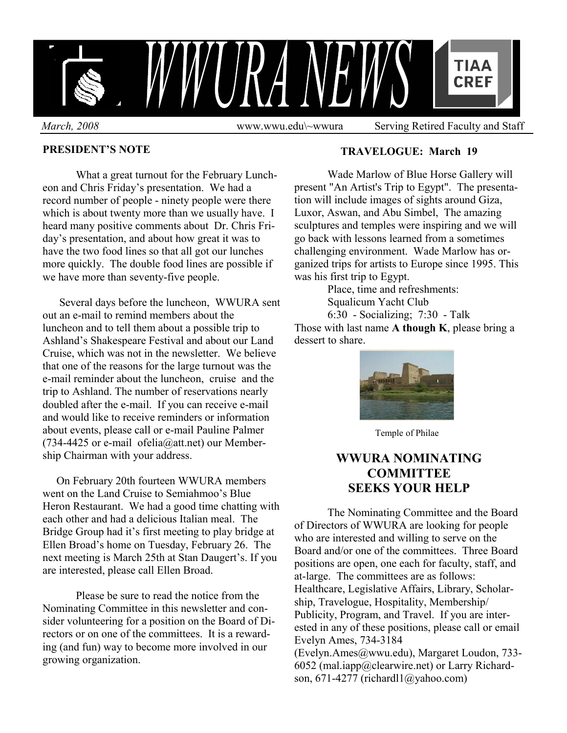

#### **PRESIDENT'S NOTE**

 What a great turnout for the February Luncheon and Chris Friday's presentation. We had a record number of people - ninety people were there which is about twenty more than we usually have. I heard many positive comments about Dr. Chris Friday's presentation, and about how great it was to have the two food lines so that all got our lunches more quickly. The double food lines are possible if we have more than seventy-five people.

 Several days before the luncheon, WWURA sent out an e-mail to remind members about the luncheon and to tell them about a possible trip to Ashland's Shakespeare Festival and about our Land Cruise, which was not in the newsletter. We believe that one of the reasons for the large turnout was the e-mail reminder about the luncheon, cruise and the trip to Ashland. The number of reservations nearly doubled after the e-mail. If you can receive e-mail and would like to receive reminders or information about events, please call or e-mail Pauline Palmer (734-4425 or e-mail ofelia@att.net) our Membership Chairman with your address.

 On February 20th fourteen WWURA members went on the Land Cruise to Semiahmoo's Blue Heron Restaurant. We had a good time chatting with each other and had a delicious Italian meal. The Bridge Group had it's first meeting to play bridge at Ellen Broad's home on Tuesday, February 26. The next meeting is March 25th at Stan Daugert's. If you are interested, please call Ellen Broad.

Please be sure to read the notice from the Nominating Committee in this newsletter and consider volunteering for a position on the Board of Directors or on one of the committees. It is a rewarding (and fun) way to become more involved in our growing organization.

#### **TRAVELOGUE: March 19**

 Wade Marlow of Blue Horse Gallery will present "An Artist's Trip to Egypt". The presentation will include images of sights around Giza, Luxor, Aswan, and Abu Simbel, The amazing sculptures and temples were inspiring and we will go back with lessons learned from a sometimes challenging environment. Wade Marlow has organized trips for artists to Europe since 1995. This was his first trip to Egypt.

> Place, time and refreshments: Squalicum Yacht Club

6:30 - Socializing; 7:30 - Talk

Those with last name **A though K**, please bring a dessert to share



Temple of Philae

# **WWURA NOMINATING COMMITTEE SEEKS YOUR HELP**

 The Nominating Committee and the Board of Directors of WWURA are looking for people who are interested and willing to serve on the Board and/or one of the committees. Three Board positions are open, one each for faculty, staff, and at-large. The committees are as follows: Healthcare, Legislative Affairs, Library, Scholarship, Travelogue, Hospitality, Membership/ Publicity, Program, and Travel. If you are interested in any of these positions, please call or email Evelyn Ames, 734-3184 (Evelyn.Ames@wwu.edu), Margaret Loudon, 733- 6052 (mal.iapp@clearwire.net) or Larry Richardson, 671-4277 (richardl1@yahoo.com)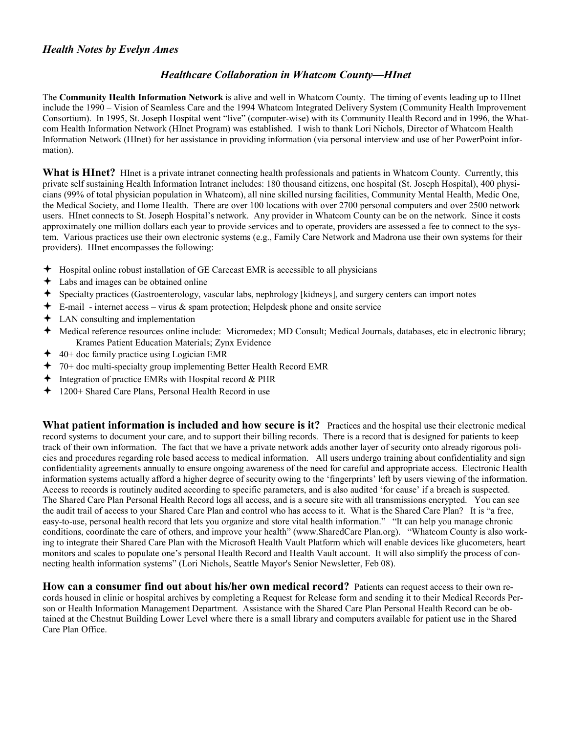#### *Healthcare Collaboration in Whatcom County—HInet*

The **Community Health Information Network** is alive and well in Whatcom County. The timing of events leading up to HInet include the 1990 – Vision of Seamless Care and the 1994 Whatcom Integrated Delivery System (Community Health Improvement Consortium). In 1995, St. Joseph Hospital went "live" (computer-wise) with its Community Health Record and in 1996, the Whatcom Health Information Network (HInet Program) was established. I wish to thank Lori Nichols, Director of Whatcom Health Information Network (HInet) for her assistance in providing information (via personal interview and use of her PowerPoint information).

What is HInet? HInet is a private intranet connecting health professionals and patients in Whatcom County. Currently, this private self sustaining Health Information Intranet includes: 180 thousand citizens, one hospital (St. Joseph Hospital), 400 physicians (99% of total physician population in Whatcom), all nine skilled nursing facilities, Community Mental Health, Medic One, the Medical Society, and Home Health. There are over 100 locations with over 2700 personal computers and over 2500 network users. HInet connects to St. Joseph Hospital's network. Any provider in Whatcom County can be on the network. Since it costs approximately one million dollars each year to provide services and to operate, providers are assessed a fee to connect to the system. Various practices use their own electronic systems (e.g., Family Care Network and Madrona use their own systems for their providers). HInet encompasses the following:

- $\triangleq$  Hospital online robust installation of GE Carecast EMR is accessible to all physicians
- Labs and images can be obtained online
- Specialty practices (Gastroenterology, vascular labs, nephrology [kidneys], and surgery centers can import notes
- $\div$  E-mail internet access virus & spam protection; Helpdesk phone and onsite service
- $\div$  LAN consulting and implementation
- Medical reference resources online include: Micromedex; MD Consult; Medical Journals, databases, etc in electronic library; Krames Patient Education Materials; Zynx Evidence
- 40+ doc family practice using Logician EMR
- 70+ doc multi-specialty group implementing Better Health Record EMR
- $\triangleq$  Integration of practice EMRs with Hospital record & PHR
- 1200+ Shared Care Plans, Personal Health Record in use

**What patient information is included and how secure is it?** Practices and the hospital use their electronic medical record systems to document your care, and to support their billing records. There is a record that is designed for patients to keep track of their own information. The fact that we have a private network adds another layer of security onto already rigorous policies and procedures regarding role based access to medical information. All users undergo training about confidentiality and sign confidentiality agreements annually to ensure ongoing awareness of the need for careful and appropriate access. Electronic Health information systems actually afford a higher degree of security owing to the 'fingerprints' left by users viewing of the information. Access to records is routinely audited according to specific parameters, and is also audited 'for cause' if a breach is suspected. The Shared Care Plan Personal Health Record logs all access, and is a secure site with all transmissions encrypted. You can see the audit trail of access to your Shared Care Plan and control who has access to it. What is the Shared Care Plan? It is "a free, easy-to-use, personal health record that lets you organize and store vital health information." "It can help you manage chronic conditions, coordinate the care of others, and improve your health" (www.SharedCare Plan.org). "Whatcom County is also working to integrate their Shared Care Plan with the Microsoft Health Vault Platform which will enable devices like glucometers, heart monitors and scales to populate one's personal Health Record and Health Vault account. It will also simplify the process of connecting health information systems" (Lori Nichols, Seattle Mayor's Senior Newsletter, Feb 08).

**How can a consumer find out about his/her own medical record?** Patients can request access to their own records housed in clinic or hospital archives by completing a Request for Release form and sending it to their Medical Records Person or Health Information Management Department. Assistance with the Shared Care Plan Personal Health Record can be obtained at the Chestnut Building Lower Level where there is a small library and computers available for patient use in the Shared Care Plan Office.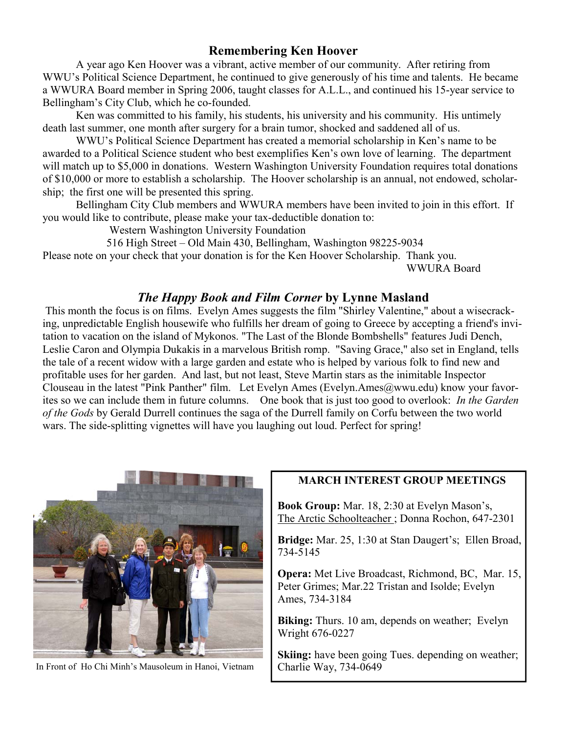# **Remembering Ken Hoover**

 A year ago Ken Hoover was a vibrant, active member of our community. After retiring from WWU's Political Science Department, he continued to give generously of his time and talents. He became a WWURA Board member in Spring 2006, taught classes for A.L.L., and continued his 15-year service to Bellingham's City Club, which he co-founded.

 Ken was committed to his family, his students, his university and his community. His untimely death last summer, one month after surgery for a brain tumor, shocked and saddened all of us.

 WWU's Political Science Department has created a memorial scholarship in Ken's name to be awarded to a Political Science student who best exemplifies Ken's own love of learning. The department will match up to \$5,000 in donations. Western Washington University Foundation requires total donations of \$10,000 or more to establish a scholarship. The Hoover scholarship is an annual, not endowed, scholarship; the first one will be presented this spring.

 Bellingham City Club members and WWURA members have been invited to join in this effort. If you would like to contribute, please make your tax-deductible donation to:

Western Washington University Foundation

516 High Street – Old Main 430, Bellingham, Washington 98225-9034

Please note on your check that your donation is for the Ken Hoover Scholarship. Thank you. WWURA Board

# *The Happy Book and Film Corner* **by Lynne Masland**

 This month the focus is on films. Evelyn Ames suggests the film "Shirley Valentine," about a wisecracking, unpredictable English housewife who fulfills her dream of going to Greece by accepting a friend's invitation to vacation on the island of Mykonos. "The Last of the Blonde Bombshells" features Judi Dench, Leslie Caron and Olympia Dukakis in a marvelous British romp. "Saving Grace," also set in England, tells the tale of a recent widow with a large garden and estate who is helped by various folk to find new and profitable uses for her garden. And last, but not least, Steve Martin stars as the inimitable Inspector Clouseau in the latest "Pink Panther" film. Let Evelyn Ames (Evelyn Ames @wwu.edu) know your favorites so we can include them in future columns. One book that is just too good to overlook: *In the Garden of the Gods* by Gerald Durrell continues the saga of the Durrell family on Corfu between the two world wars. The side-splitting vignettes will have you laughing out loud. Perfect for spring!



In Front of Ho Chi Minh's Mausoleum in Hanoi, Vietnam

#### **MARCH INTEREST GROUP MEETINGS**

**Book Group:** Mar. 18, 2:30 at Evelyn Mason's, The Arctic Schoolteacher ; Donna Rochon, 647-2301

**Bridge:** Mar. 25, 1:30 at Stan Daugert's; Ellen Broad, 734-5145

**Opera:** Met Live Broadcast, Richmond, BC, Mar. 15, Peter Grimes; Mar.22 Tristan and Isolde; Evelyn Ames, 734-3184

**Biking:** Thurs. 10 am, depends on weather; Evelyn Wright 676-0227

**Skiing:** have been going Tues. depending on weather; Charlie Way, 734-0649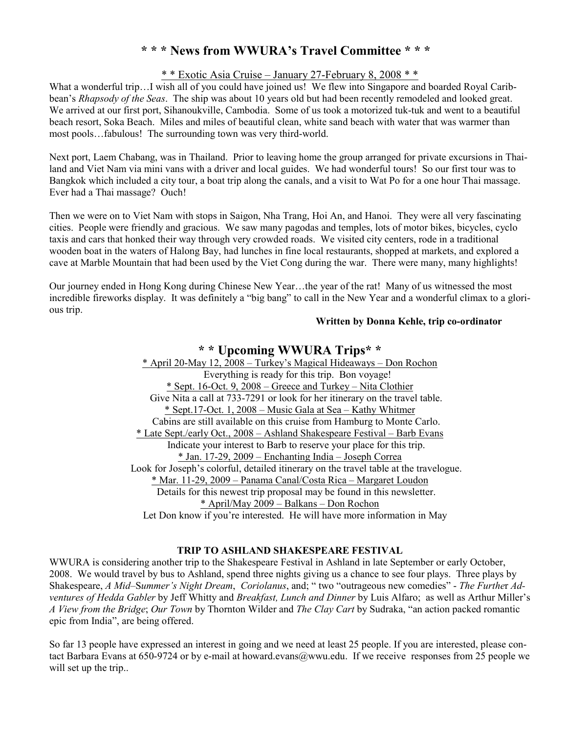## **\* \* \* News from WWURA's Travel Committee \* \* \***

#### \* \* Exotic Asia Cruise – January 27-February 8, 2008 \* \*

What a wonderful trip...I wish all of you could have joined us! We flew into Singapore and boarded Royal Caribbean's *Rhapsody of the Seas*. The ship was about 10 years old but had been recently remodeled and looked great. We arrived at our first port, Sihanoukville, Cambodia. Some of us took a motorized tuk-tuk and went to a beautiful beach resort, Soka Beach. Miles and miles of beautiful clean, white sand beach with water that was warmer than most pools…fabulous! The surrounding town was very third-world.

Next port, Laem Chabang, was in Thailand. Prior to leaving home the group arranged for private excursions in Thailand and Viet Nam via mini vans with a driver and local guides. We had wonderful tours! So our first tour was to Bangkok which included a city tour, a boat trip along the canals, and a visit to Wat Po for a one hour Thai massage. Ever had a Thai massage? Ouch!

Then we were on to Viet Nam with stops in Saigon, Nha Trang, Hoi An, and Hanoi. They were all very fascinating cities. People were friendly and gracious. We saw many pagodas and temples, lots of motor bikes, bicycles, cyclo taxis and cars that honked their way through very crowded roads. We visited city centers, rode in a traditional wooden boat in the waters of Halong Bay, had lunches in fine local restaurants, shopped at markets, and explored a cave at Marble Mountain that had been used by the Viet Cong during the war. There were many, many highlights!

Our journey ended in Hong Kong during Chinese New Year…the year of the rat! Many of us witnessed the most incredible fireworks display. It was definitely a "big bang" to call in the New Year and a wonderful climax to a glorious trip.

#### **Written by Donna Kehle, trip co-ordinator**

## **\* \* Upcoming WWURA Trips\* \***

\* April 20-May 12, 2008 – Turkey's Magical Hideaways – Don Rochon Everything is ready for this trip. Bon voyage! \* Sept. 16-Oct. 9, 2008 – Greece and Turkey – Nita Clothier Give Nita a call at 733-7291 or look for her itinerary on the travel table. \* Sept.17-Oct. 1, 2008 – Music Gala at Sea – Kathy Whitmer Cabins are still available on this cruise from Hamburg to Monte Carlo. \* Late Sept./early Oct., 2008 – Ashland Shakespeare Festival – Barb Evans Indicate your interest to Barb to reserve your place for this trip. \* Jan. 17-29, 2009 – Enchanting India – Joseph Correa Look for Joseph's colorful, detailed itinerary on the travel table at the travelogue. \* Mar. 11-29, 2009 – Panama Canal/Costa Rica – Margaret Loudon Details for this newest trip proposal may be found in this newsletter. \* April/May 2009 – Balkans – Don Rochon Let Don know if you're interested. He will have more information in May

#### **TRIP TO ASHLAND SHAKESPEARE FESTIVAL**

WWURA is considering another trip to the Shakespeare Festival in Ashland in late September or early October, 2008. We would travel by bus to Ashland, spend three nights giving us a chance to see four plays. Three plays by Shakespeare, *A Mid–*S*ummer's Night Dream*, *Coriolanus*, and; " two "outrageous new comedies" - *The Furthe*r *Adventures of Hedda Gabler* by Jeff Whitty and *Breakfast, Lunch and Dinner* by Luis Alfaro; as well as Arthur Miller's *A View from the Bridge*; *Our Town* by Thornton Wilder and *The Clay Cart* by Sudraka, "an action packed romantic epic from India", are being offered.

So far 13 people have expressed an interest in going and we need at least 25 people. If you are interested, please contact Barbara Evans at 650-9724 or by e-mail at howard.evans@wwu.edu. If we receive responses from 25 people we will set up the trip..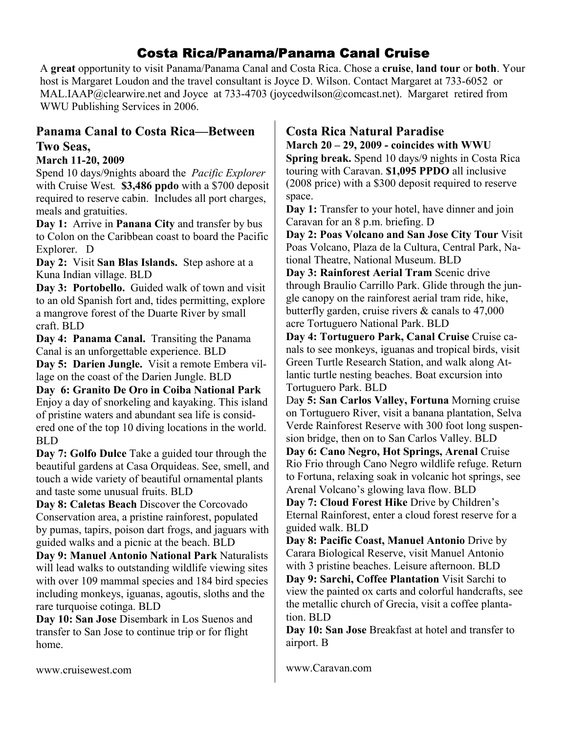# Costa Rica/Panama/Panama Canal Cruise

A **great** opportunity to visit Panama/Panama Canal and Costa Rica. Chose a **cruise**, **land tour** or **both**. Your host is Margaret Loudon and the travel consultant is Joyce D. Wilson. Contact Margaret at 733-6052 or MAL.IAAP@clearwire.net and Joyce at 733-4703 (joycedwilson@comcast.net). Margaret retired from WWU Publishing Services in 2006.

## **Panama Canal to Costa Rica—Between Two Seas,**

### **March 11-20, 2009**

Spend 10 days/9nights aboard the *Pacific Explorer*  with Cruise West*.* **\$3,486 ppdo** with a \$700 deposit required to reserve cabin. Includes all port charges, meals and gratuities.

**Day 1:** Arrive in **Panana City** and transfer by bus to Colon on the Caribbean coast to board the Pacific Explorer. D

**Day 2:** Visit **San Blas Islands.** Step ashore at a Kuna Indian village. BLD

**Day 3: Portobello.** Guided walk of town and visit to an old Spanish fort and, tides permitting, explore a mangrove forest of the Duarte River by small craft. BLD

**Day 4: Panama Canal.** Transiting the Panama Canal is an unforgettable experience. BLD

**Day 5: Darien Jungle.** Visit a remote Embera village on the coast of the Darien Jungle. BLD

**Day 6: Granito De Oro in Coiba National Park**  Enjoy a day of snorkeling and kayaking. This island of pristine waters and abundant sea life is considered one of the top 10 diving locations in the world. BLD

**Day 7: Golfo Dulce** Take a guided tour through the beautiful gardens at Casa Orquideas. See, smell, and touch a wide variety of beautiful ornamental plants and taste some unusual fruits. BLD

**Day 8: Caletas Beach** Discover the Corcovado Conservation area, a pristine rainforest, populated by pumas, tapirs, poison dart frogs, and jaguars with guided walks and a picnic at the beach. BLD

**Day 9: Manuel Antonio National Park** Naturalists will lead walks to outstanding wildlife viewing sites with over 109 mammal species and 184 bird species including monkeys, iguanas, agoutis, sloths and the rare turquoise cotinga. BLD

**Day 10: San Jose** Disembark in Los Suenos and transfer to San Jose to continue trip or for flight home.

# **Costa Rica Natural Paradise**

**March 20 – 29, 2009 - coincides with WWU** 

**Spring break.** Spend 10 days/9 nights in Costa Rica touring with Caravan. **\$1,095 PPDO** all inclusive (2008 price) with a \$300 deposit required to reserve space.

Day 1: Transfer to your hotel, have dinner and join Caravan for an 8 p.m. briefing. D

**Day 2: Poas Volcano and San Jose City Tour** Visit Poas Volcano, Plaza de la Cultura, Central Park, National Theatre, National Museum. BLD

**Day 3: Rainforest Aerial Tram** Scenic drive through Braulio Carrillo Park. Glide through the jungle canopy on the rainforest aerial tram ride, hike, butterfly garden, cruise rivers & canals to 47,000 acre Tortuguero National Park. BLD

**Day 4: Tortuguero Park, Canal Cruise** Cruise canals to see monkeys, iguanas and tropical birds, visit Green Turtle Research Station, and walk along Atlantic turtle nesting beaches. Boat excursion into Tortuguero Park. BLD

Da**y 5: San Carlos Valley, Fortuna** Morning cruise on Tortuguero River, visit a banana plantation, Selva Verde Rainforest Reserve with 300 foot long suspension bridge, then on to San Carlos Valley. BLD

**Day 6: Cano Negro, Hot Springs, Arenal** Cruise Rio Frio through Cano Negro wildlife refuge. Return to Fortuna, relaxing soak in volcanic hot springs, see Arenal Volcano's glowing lava flow. BLD

**Day 7: Cloud Forest Hike** Drive by Children's Eternal Rainforest, enter a cloud forest reserve for a guided walk. BLD

**Day 8: Pacific Coast, Manuel Antonio** Drive by Carara Biological Reserve, visit Manuel Antonio with 3 pristine beaches. Leisure afternoon. BLD **Day 9: Sarchi, Coffee Plantation** Visit Sarchi to view the painted ox carts and colorful handcrafts, see the metallic church of Grecia, visit a coffee plantation. BLD

**Day 10: San Jose** Breakfast at hotel and transfer to airport. B

www.Caravan.com